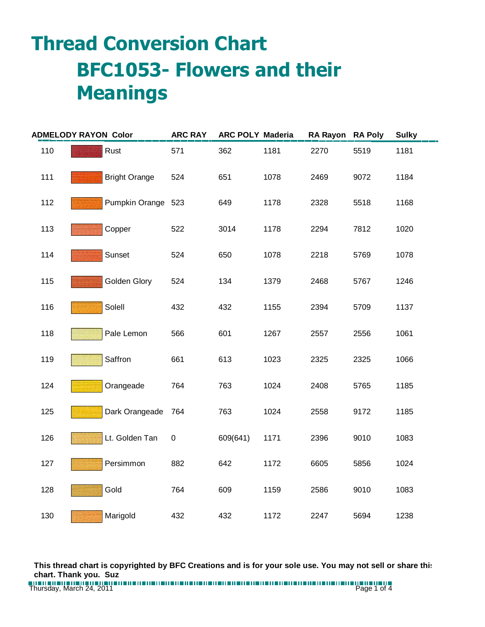## **Thread Conversion Chart BFC1053- Flowers and their Meanings**

| <b>ADMELODY RAYON Color</b> |  |                      | <b>ARC RAY</b> | <b>ARC POLY Maderia</b> |      | RA Rayon RA Poly |      | <b>Sulky</b> |
|-----------------------------|--|----------------------|----------------|-------------------------|------|------------------|------|--------------|
| 110                         |  | Rust                 | 571            | 362                     | 1181 | 2270             | 5519 | 1181         |
| 111                         |  | <b>Bright Orange</b> | 524            | 651                     | 1078 | 2469             | 9072 | 1184         |
| 112                         |  | Pumpkin Orange 523   |                | 649                     | 1178 | 2328             | 5518 | 1168         |
| 113                         |  | Copper               | 522            | 3014                    | 1178 | 2294             | 7812 | 1020         |
| 114                         |  | Sunset               | 524            | 650                     | 1078 | 2218             | 5769 | 1078         |
| 115                         |  | Golden Glory         | 524            | 134                     | 1379 | 2468             | 5767 | 1246         |
| 116                         |  | Solell               | 432            | 432                     | 1155 | 2394             | 5709 | 1137         |
| 118                         |  | Pale Lemon           | 566            | 601                     | 1267 | 2557             | 2556 | 1061         |
| 119                         |  | Saffron              | 661            | 613                     | 1023 | 2325             | 2325 | 1066         |
| 124                         |  | Orangeade            | 764            | 763                     | 1024 | 2408             | 5765 | 1185         |
| 125                         |  | Dark Orangeade       | 764            | 763                     | 1024 | 2558             | 9172 | 1185         |
| 126                         |  | Lt. Golden Tan       | $\pmb{0}$      | 609(641)                | 1171 | 2396             | 9010 | 1083         |
| 127                         |  | Persimmon            | 882            | 642                     | 1172 | 6605             | 5856 | 1024         |
| 128                         |  | Gold                 | 764            | 609                     | 1159 | 2586             | 9010 | 1083         |
| 130                         |  | Marigold             | 432            | 432                     | 1172 | 2247             | 5694 | 1238         |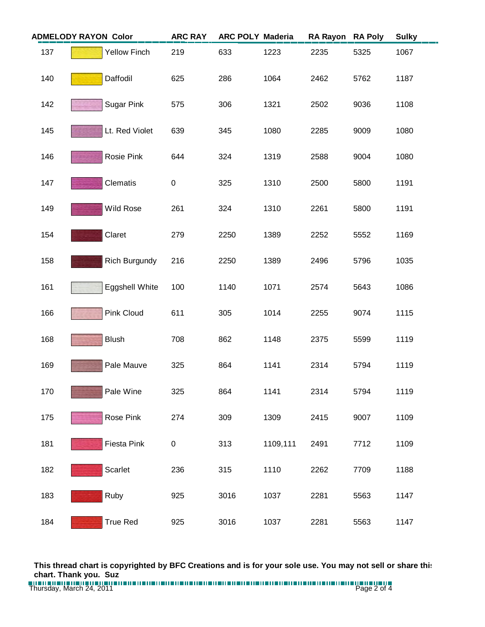|     | <b>ADMELODY RAYON Color</b> | <b>ARC RAY</b> | <b>ARC POLY Maderia</b> |          | <b>RA Rayon</b> | <b>RA Poly</b> | <b>Sulky</b> |
|-----|-----------------------------|----------------|-------------------------|----------|-----------------|----------------|--------------|
| 137 | <b>Yellow Finch</b>         | 219            | 633                     | 1223     | 2235            | 5325           | 1067         |
| 140 | Daffodil                    | 625            | 286                     | 1064     | 2462            | 5762           | 1187         |
| 142 | <b>Sugar Pink</b>           | 575            | 306                     | 1321     | 2502            | 9036           | 1108         |
| 145 | Lt. Red Violet              | 639            | 345                     | 1080     | 2285            | 9009           | 1080         |
| 146 | Rosie Pink                  | 644            | 324                     | 1319     | 2588            | 9004           | 1080         |
| 147 | Clematis                    | $\pmb{0}$      | 325                     | 1310     | 2500            | 5800           | 1191         |
| 149 | Wild Rose                   | 261            | 324                     | 1310     | 2261            | 5800           | 1191         |
| 154 | Claret                      | 279            | 2250                    | 1389     | 2252            | 5552           | 1169         |
| 158 | <b>Rich Burgundy</b>        | 216            | 2250                    | 1389     | 2496            | 5796           | 1035         |
| 161 | Eggshell White              | 100            | 1140                    | 1071     | 2574            | 5643           | 1086         |
| 166 | Pink Cloud                  | 611            | 305                     | 1014     | 2255            | 9074           | 1115         |
| 168 | <b>Blush</b>                | 708            | 862                     | 1148     | 2375            | 5599           | 1119         |
| 169 | Pale Mauve                  | 325            | 864                     | 1141     | 2314            | 5794           | 1119         |
| 170 | Pale Wine                   | 325            | 864                     | 1141     | 2314            | 5794           | 1119         |
| 175 | Rose Pink                   | 274            | 309                     | 1309     | 2415            | 9007           | 1109         |
| 181 | Fiesta Pink                 | 0              | 313                     | 1109,111 | 2491            | 7712           | 1109         |
| 182 | Scarlet                     | 236            | 315                     | 1110     | 2262            | 7709           | 1188         |
| 183 | Ruby                        | 925            | 3016                    | 1037     | 2281            | 5563           | 1147         |
| 184 | <b>True Red</b>             | 925            | 3016                    | 1037     | 2281            | 5563           | 1147         |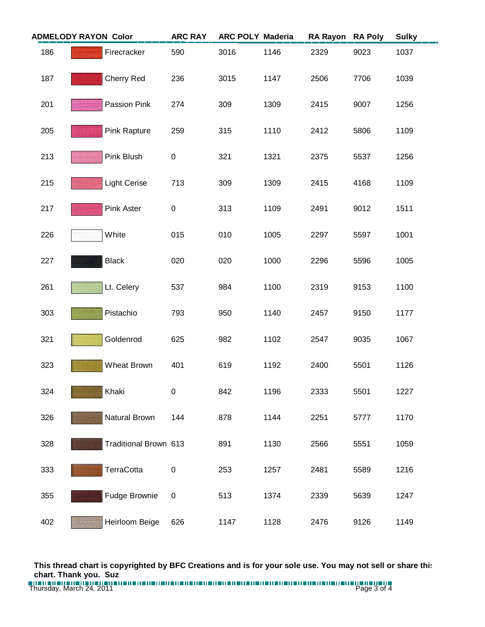| <b>ADMELODY RAYON Color</b> |  |                       | <b>ARC RAY</b> | <b>ARC POLY Maderia</b> |      | <b>RA Rayon</b> | <b>RA Poly</b> | <b>Sulky</b> |
|-----------------------------|--|-----------------------|----------------|-------------------------|------|-----------------|----------------|--------------|
| 186                         |  | Firecracker           | 590            | 3016                    | 1146 | 2329            | 9023           | 1037         |
| 187                         |  | Cherry Red            | 236            | 3015                    | 1147 | 2506            | 7706           | 1039         |
| 201                         |  | Passion Pink          | 274            | 309                     | 1309 | 2415            | 9007           | 1256         |
| 205                         |  | Pink Rapture          | 259            | 315                     | 1110 | 2412            | 5806           | 1109         |
| 213                         |  | Pink Blush            | $\pmb{0}$      | 321                     | 1321 | 2375            | 5537           | 1256         |
| 215                         |  | <b>Light Cerise</b>   | 713            | 309                     | 1309 | 2415            | 4168           | 1109         |
| 217                         |  | <b>Pink Aster</b>     | 0              | 313                     | 1109 | 2491            | 9012           | 1511         |
| 226                         |  | White                 | 015            | 010                     | 1005 | 2297            | 5597           | 1001         |
| 227                         |  | <b>Black</b>          | 020            | 020                     | 1000 | 2296            | 5596           | 1005         |
| 261                         |  | Lt. Celery            | 537            | 984                     | 1100 | 2319            | 9153           | 1100         |
| 303                         |  | Pistachio             | 793            | 950                     | 1140 | 2457            | 9150           | 1177         |
| 321                         |  | Goldenrod             | 625            | 982                     | 1102 | 2547            | 9035           | 1067         |
| 323                         |  | Wheat Brown           | 401            | 619                     | 1192 | 2400            | 5501           | 1126         |
| 324                         |  | Khaki                 | 0              | 842                     | 1196 | 2333            | 5501           | 1227         |
| 326                         |  | Natural Brown         | 144            | 878                     | 1144 | 2251            | 5777           | 1170         |
| 328                         |  | Traditional Brown 613 |                | 891                     | 1130 | 2566            | 5551           | 1059         |
| 333                         |  | TerraCotta            | $\pmb{0}$      | 253                     | 1257 | 2481            | 5589           | 1216         |
| 355                         |  | Fudge Brownie         | 0              | 513                     | 1374 | 2339            | 5639           | 1247         |
| 402                         |  | Heirloom Beige        | 626            | 1147                    | 1128 | 2476            | 9126           | 1149         |